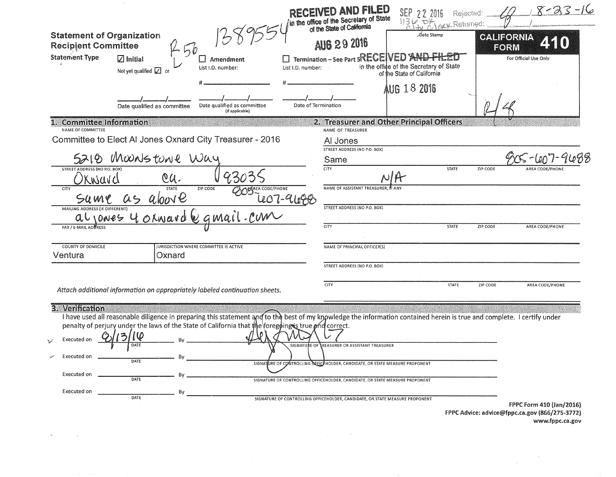| <b>Statement of Organization</b><br><b>Recipient Committee</b><br><b>Statement Type</b> | $\circ$<br>$\sqrt{ }$ Initial<br>Amendment<br>List I.D. number:<br>Not yet qualified $\Box$ or<br>Date qualified as committee<br>Date qualified as committee<br>(If applicable)                                                                                                                                             | ED AND FILED<br>in the office of the Secretary of State<br>of the State of California<br><b>AUG 29 2016</b><br>$\square$ Termination – See Part 5RECEIVED<br>List I.D. number:<br>Date of Termination                                                                                        | -2016<br>Rejected:<br>ry Returned<br>Date Stamp<br>in the office of the Secretary of State<br>of the State of California<br>AUG 18 2016 | $8 - 23 - 16$<br><b>CALIFORNIA</b><br>FORM<br>For Official Use Only        |
|-----------------------------------------------------------------------------------------|-----------------------------------------------------------------------------------------------------------------------------------------------------------------------------------------------------------------------------------------------------------------------------------------------------------------------------|----------------------------------------------------------------------------------------------------------------------------------------------------------------------------------------------------------------------------------------------------------------------------------------------|-----------------------------------------------------------------------------------------------------------------------------------------|----------------------------------------------------------------------------|
| 1. Committee Information<br>NAME OF COMMITTEE                                           |                                                                                                                                                                                                                                                                                                                             | 2. Treasurer and Other Principal Officers<br>NAME OF TREASURER                                                                                                                                                                                                                               |                                                                                                                                         |                                                                            |
|                                                                                         | Committee to Elect Al Jones Oxnard City Treasurer - 2016                                                                                                                                                                                                                                                                    | Al Jones                                                                                                                                                                                                                                                                                     |                                                                                                                                         |                                                                            |
|                                                                                         | 5210 Moonstone Way                                                                                                                                                                                                                                                                                                          | STREET ADDRESS (NO P.O. BOX)<br>Same                                                                                                                                                                                                                                                         |                                                                                                                                         |                                                                            |
| STREET ADDRESS (NO P.O. BOX)<br>wavd                                                    | QU.                                                                                                                                                                                                                                                                                                                         | $\overline{CITY}$                                                                                                                                                                                                                                                                            | STATE                                                                                                                                   | ZIP CODE<br><b>AREA CODE/PHONE</b>                                         |
| <b>CITY</b><br>SU MY.                                                                   | ZIP CODE<br><b>STATE</b>                                                                                                                                                                                                                                                                                                    | NAME OF ASSISTANT TREASURER. IF AN'                                                                                                                                                                                                                                                          |                                                                                                                                         |                                                                            |
| MAILING ADDRESS (IF DIFFERENT)                                                          |                                                                                                                                                                                                                                                                                                                             | STREET ADDRESS (NO P.O. BOX)                                                                                                                                                                                                                                                                 |                                                                                                                                         |                                                                            |
| al Iones<br><b>FAX / E-MAIL ADBRESS</b>                                                 | 4 OLWard                                                                                                                                                                                                                                                                                                                    | CITY                                                                                                                                                                                                                                                                                         | STATE                                                                                                                                   | ZIP CODE<br>AREA CODE/PHONE                                                |
| <b>COUNTY OF DOMICILE</b>                                                               | JURISDICTION WHERE COMMITTEE IS ACTIVE                                                                                                                                                                                                                                                                                      | NAME OF PRINCIPAL OFFICER(S)                                                                                                                                                                                                                                                                 |                                                                                                                                         |                                                                            |
| Ventura                                                                                 | Oxnard                                                                                                                                                                                                                                                                                                                      | STREET ADDRESS (NO P.O. BOX)                                                                                                                                                                                                                                                                 |                                                                                                                                         |                                                                            |
|                                                                                         | Attach additional information on appropriately labeled continuation sheets.                                                                                                                                                                                                                                                 | CITY                                                                                                                                                                                                                                                                                         | STATE                                                                                                                                   | ZIP CODE<br>AREA CODE/PHONE                                                |
| 3. Verification<br>Executed on<br>Executed on<br>Executed on<br>Executed on             | I have used all reasonable diligence in preparing this statement and to the best of my knowledge the information contained herein is true and complete. I certify under<br>penalty of perjury under the laws of the State of California that the foregoing is true ond correct.<br>DATE<br>DATE<br>Bv<br>DATE<br>Bv<br>DATE | SIGNATURE OF REASURER OR ASSISTANT TREASURER<br>SIGNATURE OF CONTROLLING SEFICEHOLDER, CANDIDATE, OR STATE MEASURE PROPONENT<br>SIGNATURE OF CONTROLLING OFFICEHOLDER, CANDIDATE, OR STATE MEASURE PROPONENT<br>SIGNATURE OF CONTROLLING OFFICEHOLDER, CANDIDATE, OR STATE MEASURE PROPONENT |                                                                                                                                         |                                                                            |
|                                                                                         |                                                                                                                                                                                                                                                                                                                             |                                                                                                                                                                                                                                                                                              |                                                                                                                                         | FPPC Form 410 (Jan/2016)<br>FPPC Advice: advice@fppc.ca.gov (866/275-3772) |

 $\mathcal{L}_{\text{max}}$  and  $\mathcal{L}_{\text{max}}$  . We have

 $\langle\omega\rangle$ 

 $\mathcal{L}^{\text{max}}_{\text{max}}$ 

www.fppc.ca.gov

 $\sim 10^{11}$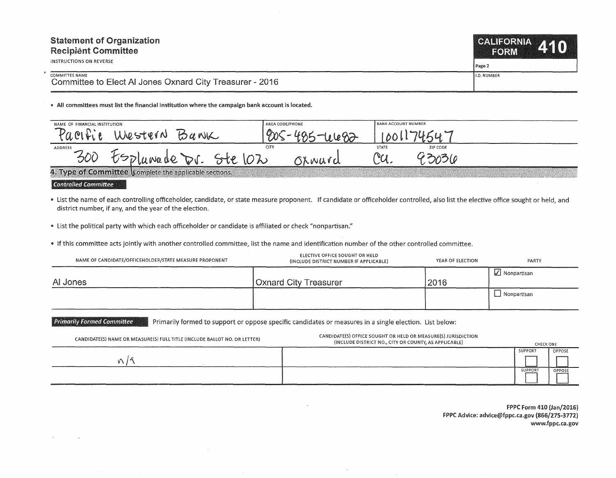| <b>Statement of Organization</b><br><b>Recipient Committee</b><br>INSTRUCTIONS ON REVERSE | CALIFORNIA 410<br><b>FORM</b> |  |
|-------------------------------------------------------------------------------------------|-------------------------------|--|
|                                                                                           | l Page 2                      |  |
| COMMITTEE NAME<br>Committee to Elect AI Jones Oxnard City Treasurer - 2016                | <b>II.D. NUMBER</b>           |  |

• All committees must list the financial institution where the campaign bank account is located.

| NAME OF FINANCIAL INSTITUTION |                                                                | AREA CODE/PHONE | <b>BANK ACCOUNT NUMBER</b> |              |          |  |
|-------------------------------|----------------------------------------------------------------|-----------------|----------------------------|--------------|----------|--|
| $U \cap V$                    | Western<br>$\forall a \text{wK}$                               |                 | Ono                        |              |          |  |
| ADDRESS                       |                                                                |                 | CITY                       | <b>STATE</b> | ZIP CODE |  |
| 300                           | PD Lawade<br>DI.                                               |                 | Olward                     | $\gamma$     |          |  |
|                               | 4. Type of Committee <i>Complete the applicable sections</i> . |                 |                            |              |          |  |

 $\bf 4.$  Type of committee (complete the applicable sections.  $\cdots$ 

' Ciont~olle'd **Ciommittee** 

" List the name of each controlling officeholder, candidate, or state measure proponent. If candidate or officeholder controlled, also list the elective office sought or held, and district number, if any, and the year of the election.

.. List the political party with which each officeholder or candidate is affiliated or check "nonpartisan."

" If this committee acts jointly with another controlled committee, list the name and identification number of the other controlled committee.

| NAME OF CANDIDATE/OFFICEHOLDER/STATE MEASURE PROPONENT | ELECTIVE OFFICE SOUGHT OR HELD<br>(INCLUDE DISTRICT NUMBER IF APPLICABLE) | YEAR OF ELECTION | PARTY                  |
|--------------------------------------------------------|---------------------------------------------------------------------------|------------------|------------------------|
| AI Jones                                               | Oxnard City Treasurer                                                     | 2016             | $\sqrt{ }$ Nonpartisan |
|                                                        |                                                                           |                  | Nonpartisan            |

Primarily Formed Committee **Primarily formed to support or oppose specific candidates or measures in a single election. List below:** 

| CANDIDATE(S) NAME OR MEASURE(S) FULL TITLE (INCLUDE BALLOT NO. OR LETTER) | CANDIDATE(S) OFFICE SOUGHT OR HELD OR MEASURE(S) JURISDICTION<br>(INCLUDE DISTRICT NO., CITY OR COUNTY, AS APPLICABLE) | <b>CHECK ONE</b> |        |
|---------------------------------------------------------------------------|------------------------------------------------------------------------------------------------------------------------|------------------|--------|
|                                                                           |                                                                                                                        | SUPPORT          | OPPOSE |
|                                                                           |                                                                                                                        |                  |        |
|                                                                           |                                                                                                                        | SUPPORT          | OPPOSE |
|                                                                           |                                                                                                                        |                  |        |

FPPC Form 410 (Jan/2016) FPPC Advice: advice@fppc.ca.gov (866/275-3772) www.fppc.ca.gov